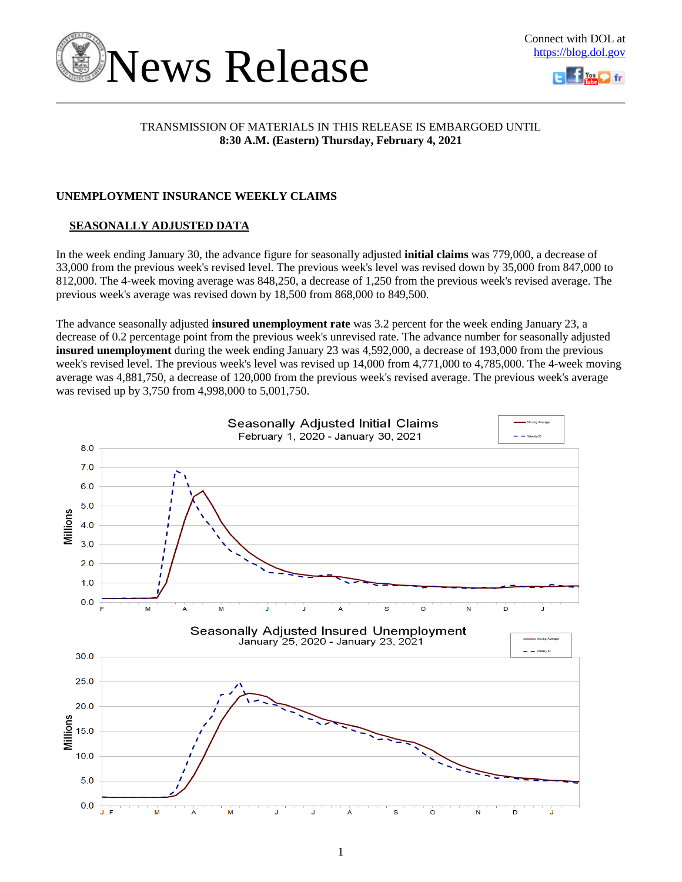



### TRANSMISSION OF MATERIALS IN THIS RELEASE IS EMBARGOED UNTIL **8:30 A.M. (Eastern) Thursday, February 4, 2021**

## **UNEMPLOYMENT INSURANCE WEEKLY CLAIMS**

## **SEASONALLY ADJUSTED DATA**

In the week ending January 30, the advance figure for seasonally adjusted **initial claims** was 779,000, a decrease of 33,000 from the previous week's revised level. The previous week's level was revised down by 35,000 from 847,000 to 812,000. The 4-week moving average was 848,250, a decrease of 1,250 from the previous week's revised average. The previous week's average was revised down by 18,500 from 868,000 to 849,500.

The advance seasonally adjusted **insured unemployment rate** was 3.2 percent for the week ending January 23, a decrease of 0.2 percentage point from the previous week's unrevised rate. The advance number for seasonally adjusted **insured unemployment** during the week ending January 23 was 4,592,000, a decrease of 193,000 from the previous week's revised level. The previous week's level was revised up 14,000 from 4,771,000 to 4,785,000. The 4-week moving average was 4,881,750, a decrease of 120,000 from the previous week's revised average. The previous week's average was revised up by 3,750 from 4,998,000 to 5,001,750.

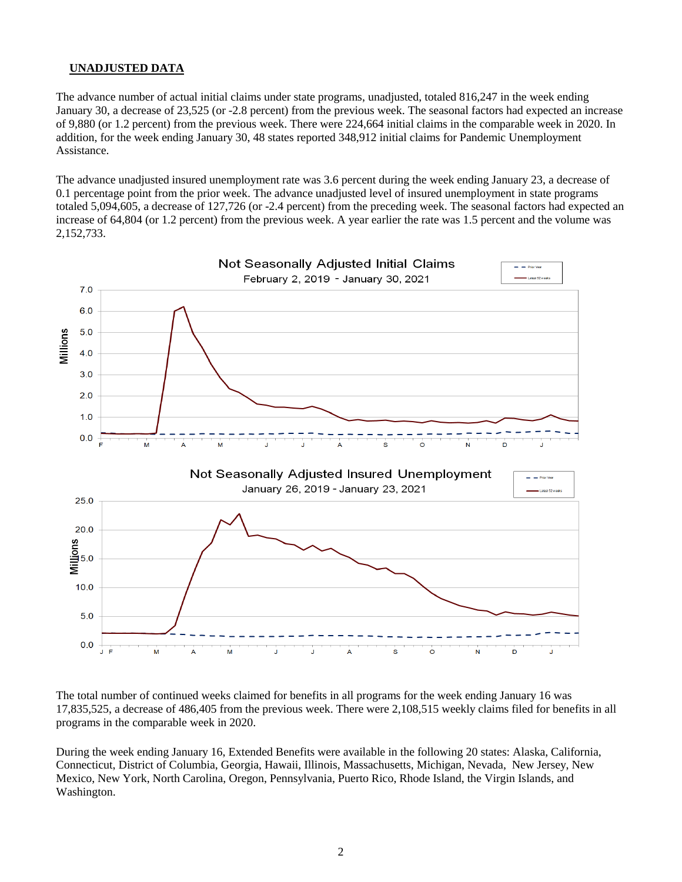### **UNADJUSTED DATA**

The advance number of actual initial claims under state programs, unadjusted, totaled 816,247 in the week ending January 30, a decrease of 23,525 (or -2.8 percent) from the previous week. The seasonal factors had expected an increase of 9,880 (or 1.2 percent) from the previous week. There were 224,664 initial claims in the comparable week in 2020. In addition, for the week ending January 30, 48 states reported 348,912 initial claims for Pandemic Unemployment Assistance.

The advance unadjusted insured unemployment rate was 3.6 percent during the week ending January 23, a decrease of 0.1 percentage point from the prior week. The advance unadjusted level of insured unemployment in state programs totaled 5,094,605, a decrease of 127,726 (or -2.4 percent) from the preceding week. The seasonal factors had expected an increase of 64,804 (or 1.2 percent) from the previous week. A year earlier the rate was 1.5 percent and the volume was 2,152,733.



The total number of continued weeks claimed for benefits in all programs for the week ending January 16 was 17,835,525, a decrease of 486,405 from the previous week. There were 2,108,515 weekly claims filed for benefits in all programs in the comparable week in 2020.

During the week ending January 16, Extended Benefits were available in the following 20 states: Alaska, California, Connecticut, District of Columbia, Georgia, Hawaii, Illinois, Massachusetts, Michigan, Nevada, New Jersey, New Mexico, New York, North Carolina, Oregon, Pennsylvania, Puerto Rico, Rhode Island, the Virgin Islands, and Washington.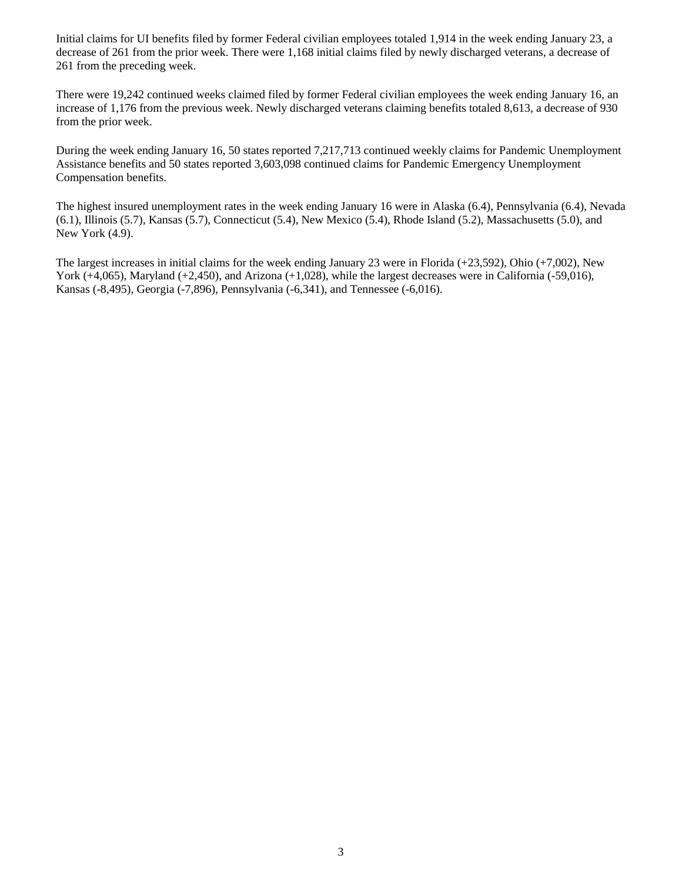Initial claims for UI benefits filed by former Federal civilian employees totaled 1,914 in the week ending January 23, a decrease of 261 from the prior week. There were 1,168 initial claims filed by newly discharged veterans, a decrease of 261 from the preceding week.

There were 19,242 continued weeks claimed filed by former Federal civilian employees the week ending January 16, an increase of 1,176 from the previous week. Newly discharged veterans claiming benefits totaled 8,613, a decrease of 930 from the prior week.

During the week ending January 16, 50 states reported 7,217,713 continued weekly claims for Pandemic Unemployment Assistance benefits and 50 states reported 3,603,098 continued claims for Pandemic Emergency Unemployment Compensation benefits.

The highest insured unemployment rates in the week ending January 16 were in Alaska (6.4), Pennsylvania (6.4), Nevada (6.1), Illinois (5.7), Kansas (5.7), Connecticut (5.4), New Mexico (5.4), Rhode Island (5.2), Massachusetts (5.0), and New York (4.9).

The largest increases in initial claims for the week ending January 23 were in Florida (+23,592), Ohio (+7,002), New York (+4,065), Maryland (+2,450), and Arizona (+1,028), while the largest decreases were in California (-59,016), Kansas (-8,495), Georgia (-7,896), Pennsylvania (-6,341), and Tennessee (-6,016).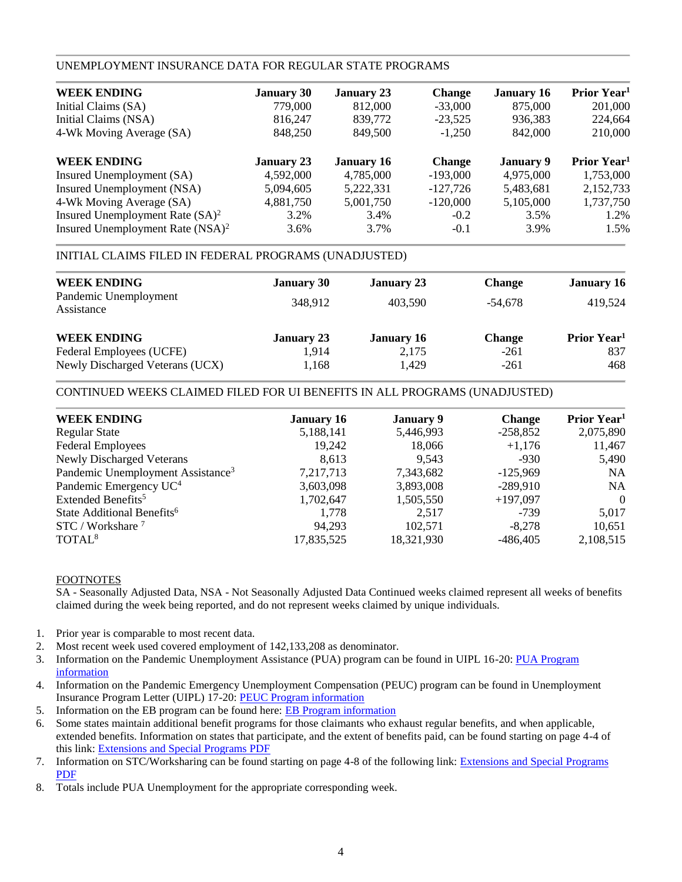### UNEMPLOYMENT INSURANCE DATA FOR REGULAR STATE PROGRAMS

| <b>WEEK ENDING</b>                           | <b>January 30</b> | <b>January 23</b> | <b>Change</b> | <b>January 16</b> | Prior Year <sup>1</sup> |
|----------------------------------------------|-------------------|-------------------|---------------|-------------------|-------------------------|
| Initial Claims (SA)                          | 779,000           | 812,000           | $-33,000$     | 875,000           | 201,000                 |
| Initial Claims (NSA)                         | 816,247           | 839,772           | $-23,525$     | 936,383           | 224,664                 |
| 4-Wk Moving Average (SA)                     | 848,250           | 849,500           | $-1,250$      | 842,000           | 210,000                 |
| <b>WEEK ENDING</b>                           | <b>January 23</b> | <b>January 16</b> | <b>Change</b> | January 9         | Prior Year <sup>1</sup> |
| Insured Unemployment (SA)                    | 4,592,000         | 4,785,000         | $-193,000$    | 4,975,000         | 1,753,000               |
| Insured Unemployment (NSA)                   | 5,094,605         | 5,222,331         | $-127,726$    | 5,483,681         | 2,152,733               |
| 4-Wk Moving Average (SA)                     | 4,881,750         | 5,001,750         | $-120,000$    | 5,105,000         | 1,737,750               |
| Insured Unemployment Rate $(SA)^2$           | 3.2%              | 3.4%              | $-0.2$        | 3.5%              | 1.2%                    |
| Insured Unemployment Rate (NSA) <sup>2</sup> | 3.6%              | 3.7%              | $-0.1$        | 3.9%              | 1.5%                    |

### INITIAL CLAIMS FILED IN FEDERAL PROGRAMS (UNADJUSTED)

| <b>WEEK ENDING</b>                  | <b>January 30</b> | <b>January 23</b> | <b>Change</b> | <b>January 16</b>       |
|-------------------------------------|-------------------|-------------------|---------------|-------------------------|
| Pandemic Unemployment<br>Assistance | 348,912           | 403.590           | $-54.678$     | 419,524                 |
| <b>WEEK ENDING</b>                  | <b>January 23</b> | <b>January 16</b> | <b>Change</b> | Prior Year <sup>1</sup> |
| Federal Employees (UCFE)            | 1,914             | 2,175             | $-261$        | 837                     |
| Newly Discharged Veterans (UCX)     | 1,168             | 1,429             | $-261$        | 468                     |

### CONTINUED WEEKS CLAIMED FILED FOR UI BENEFITS IN ALL PROGRAMS (UNADJUSTED)

| <b>WEEK ENDING</b>                            | <b>January 16</b> | <b>January 9</b> | <b>Change</b> | Prior Year <sup>1</sup> |
|-----------------------------------------------|-------------------|------------------|---------------|-------------------------|
| <b>Regular State</b>                          | 5,188,141         | 5,446,993        | $-258,852$    | 2,075,890               |
| <b>Federal Employees</b>                      | 19,242            | 18,066           | $+1,176$      | 11,467                  |
| <b>Newly Discharged Veterans</b>              | 8.613             | 9.543            | $-930$        | 5,490                   |
| Pandemic Unemployment Assistance <sup>3</sup> | 7,217,713         | 7,343,682        | $-125.969$    | <b>NA</b>               |
| Pandemic Emergency UC <sup>4</sup>            | 3,603,098         | 3,893,008        | $-289,910$    | <b>NA</b>               |
| Extended Benefits <sup>5</sup>                | 1,702,647         | 1,505,550        | $+197,097$    | $\theta$                |
| State Additional Benefits <sup>6</sup>        | 1,778             | 2,517            | $-739$        | 5,017                   |
| $STC / Workshare$ <sup>7</sup>                | 94.293            | 102.571          | $-8,278$      | 10,651                  |
| TOTAL <sup>8</sup>                            | 17,835,525        | 18,321,930       | $-486,405$    | 2,108,515               |
|                                               |                   |                  |               |                         |

### FOOTNOTES

SA - Seasonally Adjusted Data, NSA - Not Seasonally Adjusted Data Continued weeks claimed represent all weeks of benefits claimed during the week being reported, and do not represent weeks claimed by unique individuals.

- 1. Prior year is comparable to most recent data.
- 2. Most recent week used covered employment of 142,133,208 as denominator.
- 3. Information on the Pandemic Unemployment Assistance (PUA) program can be found in UIPL 16-20: [PUA Program](https://wdr.doleta.gov/directives/corr_doc.cfm?DOCN=4628) [information](https://wdr.doleta.gov/directives/corr_doc.cfm?DOCN=4628)
- 4. Information on the Pandemic Emergency Unemployment Compensation (PEUC) program can be found in Unemployment Insurance Program Letter (UIPL) 17-20: [PEUC Program information](https://wdr.doleta.gov/directives/corr_doc.cfm?DOCN=8452)
- 5. Information on the EB program can be found here: **EB Program information**
- 6. Some states maintain additional benefit programs for those claimants who exhaust regular benefits, and when applicable, extended benefits. Information on states that participate, and the extent of benefits paid, can be found starting on page 4-4 of this link: [Extensions and Special Programs PDF](https://oui.doleta.gov/unemploy/pdf/uilawcompar/2020/special.pdf#page=4)
- 7. Information on STC/Worksharing can be found starting on page 4-8 of the following link: [Extensions and Special Programs](https://oui.doleta.gov/unemploy/pdf/uilawcompar/2019/special.pdf#page=8) [PDF](https://oui.doleta.gov/unemploy/pdf/uilawcompar/2019/special.pdf#page=8)
- 8. Totals include PUA Unemployment for the appropriate corresponding week.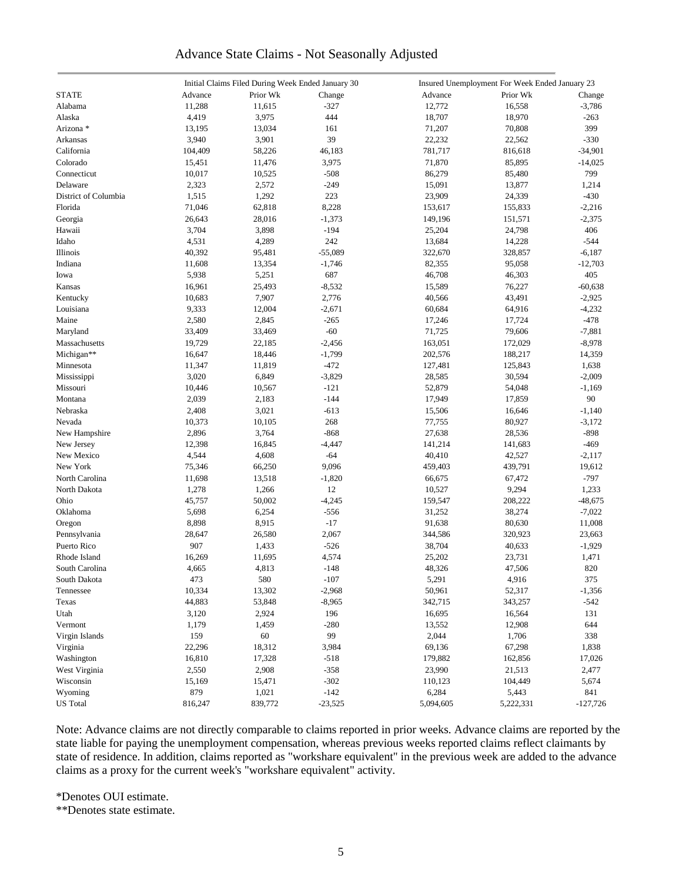# Advance State Claims - Not Seasonally Adjusted

|                      |         | Initial Claims Filed During Week Ended January 30 |           | Insured Unemployment For Week Ended January 23 |           |            |  |  |
|----------------------|---------|---------------------------------------------------|-----------|------------------------------------------------|-----------|------------|--|--|
| <b>STATE</b>         | Advance | Prior Wk                                          | Change    | Advance                                        | Prior Wk  | Change     |  |  |
| Alabama              | 11,288  | 11,615                                            | $-327$    | 12,772                                         | 16,558    | $-3,786$   |  |  |
| Alaska               | 4,419   | 3,975                                             | 444       | 18,707                                         | 18,970    | $-263$     |  |  |
| Arizona *            | 13,195  | 13,034                                            | 161       | 71,207                                         | 70,808    | 399        |  |  |
| Arkansas             | 3,940   | 3,901                                             | 39        | 22,232                                         | 22,562    | $-330$     |  |  |
| California           | 104,409 | 58,226                                            | 46,183    | 781,717                                        | 816,618   | $-34,901$  |  |  |
| Colorado             | 15,451  | 11,476                                            | 3,975     | 71,870                                         | 85,895    | $-14,025$  |  |  |
| Connecticut          | 10,017  | 10,525                                            | $-508$    | 86,279                                         | 85,480    | 799        |  |  |
| Delaware             | 2,323   | 2,572                                             | $-249$    | 15,091                                         | 13,877    | 1,214      |  |  |
| District of Columbia | 1,515   | 1,292                                             | 223       | 23,909                                         | 24,339    | $-430$     |  |  |
| Florida              | 71,046  | 62,818                                            | 8,228     | 153,617                                        | 155,833   | $-2,216$   |  |  |
| Georgia              | 26,643  | 28,016                                            | $-1,373$  | 149,196                                        | 151,571   | $-2,375$   |  |  |
| Hawaii               | 3,704   | 3,898                                             | $-194$    | 25,204                                         | 24,798    | 406        |  |  |
| Idaho                | 4,531   | 4,289                                             | 242       | 13,684                                         | 14,228    | $-544$     |  |  |
| Illinois             | 40,392  | 95,481                                            | $-55,089$ | 322,670                                        | 328,857   | $-6,187$   |  |  |
| Indiana              | 11,608  | 13,354                                            | $-1,746$  | 82,355                                         | 95,058    | $-12,703$  |  |  |
| Iowa                 | 5,938   | 5,251                                             | 687       | 46,708                                         | 46,303    | 405        |  |  |
|                      |         |                                                   |           |                                                |           |            |  |  |
| Kansas               | 16,961  | 25,493                                            | $-8,532$  | 15,589                                         | 76,227    | $-60,638$  |  |  |
| Kentucky             | 10,683  | 7,907                                             | 2,776     | 40,566                                         | 43,491    | $-2,925$   |  |  |
| Louisiana            | 9,333   | 12,004                                            | $-2,671$  | 60,684                                         | 64,916    | $-4,232$   |  |  |
| Maine                | 2,580   | 2,845                                             | $-265$    | 17,246                                         | 17,724    | $-478$     |  |  |
| Maryland             | 33,409  | 33,469                                            | $-60$     | 71,725                                         | 79,606    | $-7,881$   |  |  |
| Massachusetts        | 19,729  | 22,185                                            | $-2,456$  | 163,051                                        | 172,029   | $-8,978$   |  |  |
| Michigan**           | 16,647  | 18,446                                            | $-1,799$  | 202,576                                        | 188,217   | 14,359     |  |  |
| Minnesota            | 11,347  | 11,819                                            | $-472$    | 127,481                                        | 125,843   | 1,638      |  |  |
| Mississippi          | 3,020   | 6,849                                             | $-3,829$  | 28,585                                         | 30,594    | $-2,009$   |  |  |
| Missouri             | 10,446  | 10,567                                            | $-121$    | 52,879                                         | 54,048    | $-1,169$   |  |  |
| Montana              | 2,039   | 2,183                                             | $-144$    | 17,949                                         | 17,859    | 90         |  |  |
| Nebraska             | 2,408   | 3,021                                             | $-613$    | 15,506                                         | 16,646    | $-1,140$   |  |  |
| Nevada               | 10,373  | 10,105                                            | 268       | 77,755                                         | 80,927    | -3,172     |  |  |
| New Hampshire        | 2,896   | 3,764                                             | $-868$    | 27,638                                         | 28,536    | $-898$     |  |  |
| New Jersey           | 12,398  | 16,845                                            | $-4,447$  | 141,214                                        | 141,683   | $-469$     |  |  |
| New Mexico           | 4,544   | 4,608                                             | $-64$     | 40,410                                         | 42,527    | $-2,117$   |  |  |
| New York             | 75,346  | 66,250                                            | 9,096     | 459,403                                        | 439,791   | 19,612     |  |  |
| North Carolina       | 11,698  | 13,518                                            | $-1,820$  | 66,675                                         | 67,472    | $-797$     |  |  |
| North Dakota         | 1,278   | 1,266                                             | 12        | 10,527                                         | 9,294     | 1,233      |  |  |
| Ohio                 | 45,757  | 50,002                                            | $-4,245$  | 159,547                                        | 208,222   | $-48,675$  |  |  |
| Oklahoma             | 5,698   | 6,254                                             | $-556$    | 31,252                                         | 38,274    | $-7,022$   |  |  |
| Oregon               | 8,898   | 8,915                                             | $-17$     | 91,638                                         | 80,630    | 11,008     |  |  |
| Pennsylvania         | 28,647  | 26,580                                            | 2,067     | 344,586                                        | 320,923   | 23,663     |  |  |
| Puerto Rico          | 907     | 1,433                                             | $-526$    | 38,704                                         | 40,633    | $-1,929$   |  |  |
| Rhode Island         | 16,269  | 11,695                                            | 4,574     | 25,202                                         | 23,731    | 1,471      |  |  |
| South Carolina       | 4,665   | 4,813                                             | $-148$    | 48,326                                         | 47,506    | 820        |  |  |
| South Dakota         | 473     | 580                                               | $-107$    | 5,291                                          | 4,916     | 375        |  |  |
| Tennessee            | 10,334  | 13,302                                            | $-2,968$  | 50,961                                         | 52,317    | $-1,356$   |  |  |
| Texas                | 44,883  | 53,848                                            | $-8,965$  | 342,715                                        | 343,257   | $-542$     |  |  |
| Utah                 | 3,120   | 2,924                                             | 196       | 16,695                                         | 16,564    | 131        |  |  |
| Vermont              | 1,179   | 1,459                                             | $-280$    | 13,552                                         | 12,908    | 644        |  |  |
| Virgin Islands       | 159     | 60                                                | 99        | 2,044                                          | 1,706     | 338        |  |  |
| Virginia             | 22,296  | 18,312                                            | 3,984     | 69,136                                         | 67,298    | 1,838      |  |  |
| Washington           | 16,810  | 17,328                                            | $-518$    | 179,882                                        | 162,856   | 17,026     |  |  |
| West Virginia        | 2,550   | 2,908                                             | $-358$    | 23,990                                         | 21,513    | 2,477      |  |  |
| Wisconsin            | 15,169  | 15,471                                            | $-302$    | 110,123                                        | 104,449   | 5,674      |  |  |
| Wyoming              | 879     | 1,021                                             | $-142$    | 6,284                                          | 5,443     | 841        |  |  |
| <b>US</b> Total      | 816,247 | 839,772                                           | $-23,525$ | 5,094,605                                      |           | $-127,726$ |  |  |
|                      |         |                                                   |           |                                                | 5,222,331 |            |  |  |

Note: Advance claims are not directly comparable to claims reported in prior weeks. Advance claims are reported by the state liable for paying the unemployment compensation, whereas previous weeks reported claims reflect claimants by state of residence. In addition, claims reported as "workshare equivalent" in the previous week are added to the advance claims as a proxy for the current week's "workshare equivalent" activity.

\*Denotes OUI estimate.

\*\*Denotes state estimate.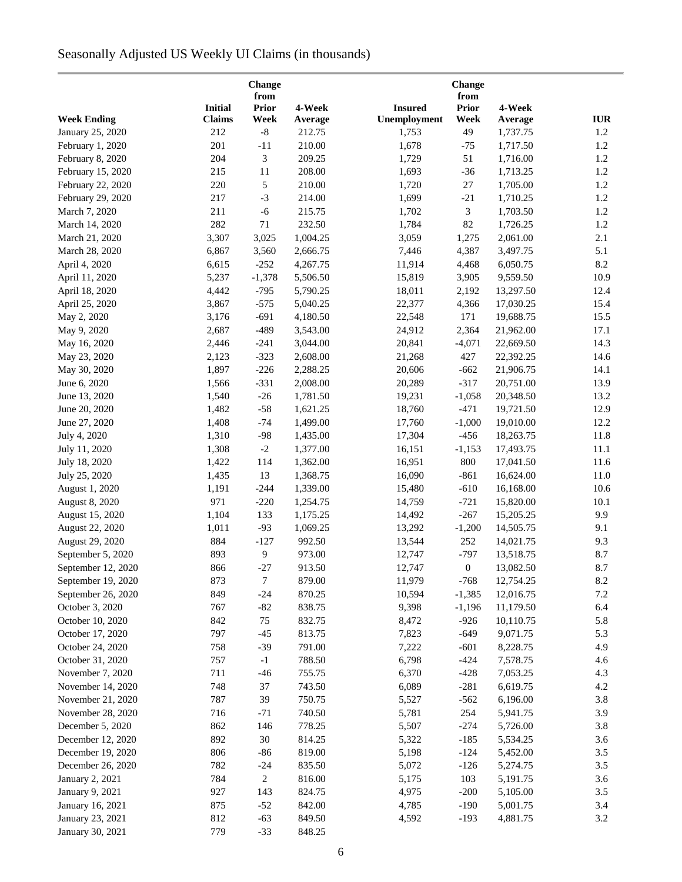# Seasonally Adjusted US Weekly UI Claims (in thousands)

|                                          |                |                  | Change           |                  |                        | Change<br>from         |            |  |
|------------------------------------------|----------------|------------------|------------------|------------------|------------------------|------------------------|------------|--|
|                                          | <b>Initial</b> | from<br>Prior    | 4-Week           | <b>Insured</b>   | <b>Prior</b>           | 4-Week                 |            |  |
| <b>Week Ending</b>                       | Claims         | Week             | Average          | Unemployment     | Week                   | Average                | <b>IUR</b> |  |
| January 25, 2020                         | 212            | $\mbox{-}8$      | 212.75           | 1,753            | 49                     | 1,737.75               | 1.2        |  |
| February 1, 2020                         | 201            | $-11$            | 210.00           | 1,678            | $-75$                  | 1,717.50               | 1.2        |  |
| February 8, 2020                         | 204            | 3                | 209.25           | 1,729            | 51                     | 1,716.00               | 1.2        |  |
| February 15, 2020                        | 215            | 11               | 208.00           | 1,693            | $-36$                  | 1,713.25               | 1.2        |  |
| February 22, 2020                        | 220            | 5                | 210.00           | 1,720            | $27\,$                 | 1,705.00               | $1.2\,$    |  |
| February 29, 2020                        | 217            | $-3$             | 214.00           | 1,699            | $-21$                  | 1,710.25               | 1.2        |  |
| March 7, 2020                            | 211            | $-6$             | 215.75           | 1,702            | $\mathfrak{Z}$         | 1,703.50               | 1.2        |  |
| March 14, 2020                           | 282            | $71\,$           | 232.50           | 1,784            | 82                     | 1,726.25               | 1.2        |  |
| March 21, 2020                           | 3,307          | 3,025            | 1,004.25         | 3,059            | 1,275                  | 2,061.00               | 2.1        |  |
| March 28, 2020                           | 6,867          | 3,560            | 2,666.75         | 7,446            | 4,387                  | 3,497.75               | 5.1        |  |
| April 4, 2020                            | 6,615          | $-252$           | 4,267.75         | 11,914           | 4,468                  | 6,050.75               | 8.2        |  |
| April 11, 2020                           | 5,237          | $-1,378$         | 5,506.50         | 15,819           | 3,905                  | 9,559.50               | 10.9       |  |
| April 18, 2020                           | 4,442          | $-795$           | 5,790.25         | 18,011           | 2,192                  | 13,297.50              | 12.4       |  |
| April 25, 2020                           | 3,867          | $-575$           | 5,040.25         | 22,377           | 4,366                  | 17,030.25              | 15.4       |  |
| May 2, 2020                              | 3,176          | $-691$           | 4,180.50         | 22,548           | 171                    | 19,688.75              | 15.5       |  |
| May 9, 2020                              | 2,687          | $-489$           | 3,543.00         | 24,912           | 2,364                  | 21,962.00              | 17.1       |  |
| May 16, 2020                             | 2,446          | $-241$           | 3,044.00         | 20,841           | $-4,071$               | 22,669.50              | 14.3       |  |
| May 23, 2020                             | 2,123          | $-323$           | 2,608.00         | 21,268           | 427                    | 22,392.25              | 14.6       |  |
| May 30, 2020                             | 1,897          | $-226$           | 2,288.25         | 20,606           | $-662$                 | 21,906.75              | 14.1       |  |
| June 6, 2020                             | 1,566          | $-331$           | 2,008.00         | 20,289           | $-317$                 | 20,751.00              | 13.9       |  |
| June 13, 2020                            | 1,540          | $-26$            | 1,781.50         | 19,231           | $-1,058$               | 20,348.50              | 13.2       |  |
| June 20, 2020                            | 1,482          | $-58$            | 1,621.25         | 18,760           | $-471$                 | 19,721.50              | 12.9       |  |
| June 27, 2020                            | 1,408          | $-74$            | 1,499.00         | 17,760           | $-1,000$               | 19,010.00              | 12.2       |  |
| July 4, 2020                             | 1,310          | $-98$            | 1,435.00         | 17,304           | $-456$                 | 18,263.75              | 11.8       |  |
| July 11, 2020                            | 1,308          | $-2$             | 1,377.00         | 16,151           | $-1,153$               | 17,493.75              | 11.1       |  |
| July 18, 2020                            | 1,422          | 114              | 1,362.00         | 16,951           | 800                    | 17,041.50              | 11.6       |  |
| July 25, 2020                            | 1,435          | 13               | 1,368.75         | 16,090           | $-861$                 | 16,624.00              | 11.0       |  |
| August 1, 2020                           | 1,191          | $-244$           | 1,339.00         | 15,480           | $-610$                 | 16,168.00              | 10.6       |  |
| August 8, 2020                           | 971            | $-220$           | 1,254.75         | 14,759           | $-721$                 | 15,820.00              | 10.1       |  |
| August 15, 2020                          | 1,104          | 133              | 1,175.25         | 14,492           | $-267$                 | 15,205.25              | 9.9        |  |
| August 22, 2020                          | 1,011          | $-93$            | 1,069.25         | 13,292           | $-1,200$               | 14,505.75              | 9.1        |  |
| August 29, 2020                          | 884            | $-127$           | 992.50           | 13,544           | 252                    |                        |            |  |
| September 5, 2020                        | 893            | 9                | 973.00           | 12,747           | $-797$                 | 14,021.75<br>13,518.75 | 9.3<br>8.7 |  |
| September 12, 2020                       | 866            | $-27$            |                  |                  |                        | 13,082.50              | 8.7        |  |
|                                          | 873            | $\boldsymbol{7}$ | 913.50<br>879.00 | 12,747<br>11,979 | $\mathbf{0}$<br>$-768$ |                        | 8.2        |  |
| September 19, 2020<br>September 26, 2020 | 849            |                  | 870.25           | 10,594           |                        | 12,754.25              | $7.2\,$    |  |
|                                          |                | $-24$            |                  |                  | $-1,385$               | 12,016.75              |            |  |
| October 3, 2020                          | 767            | $-82$            | 838.75<br>832.75 | 9,398            | $-1,196$               | 11,179.50              | 6.4        |  |
| October 10, 2020                         | 842            | 75               |                  | 8,472            | $-926$                 | 10,110.75              | 5.8        |  |
| October 17, 2020                         | 797<br>758     | $-45$            | 813.75           | 7,823            | $-649$                 | 9,071.75               | 5.3        |  |
| October 24, 2020                         |                | $-39$            | 791.00           | 7,222            | $-601$                 | 8,228.75               | 4.9        |  |
| October 31, 2020                         | 757            | $-1$             | 788.50           | 6,798            | $-424$                 | 7,578.75               | 4.6        |  |
| November 7, 2020                         | 711            | $-46$            | 755.75           | 6,370            | $-428$                 | 7,053.25               | 4.3        |  |
| November 14, 2020                        | 748            | 37               | 743.50           | 6,089            | $-281$                 | 6,619.75               | 4.2        |  |
| November 21, 2020                        | 787            | 39               | 750.75           | 5,527            | $-562$                 | 6,196.00               | 3.8        |  |
| November 28, 2020                        | 716            | $-71$            | 740.50           | 5,781            | 254                    | 5,941.75               | 3.9        |  |
| December 5, 2020                         | 862            | 146              | 778.25           | 5,507            | $-274$                 | 5,726.00               | 3.8        |  |
| December 12, 2020                        | 892            | $30\,$           | 814.25           | 5,322            | $-185$                 | 5,534.25               | 3.6        |  |
| December 19, 2020                        | 806            | $-86$            | 819.00           | 5,198            | $-124$                 | 5,452.00               | 3.5        |  |
| December 26, 2020                        | 782            | $-24$            | 835.50           | 5,072            | $-126$                 | 5,274.75               | 3.5        |  |
| January 2, 2021                          | 784            | $\overline{c}$   | 816.00           | 5,175            | 103                    | 5,191.75               | 3.6        |  |
| January 9, 2021                          | 927            | 143              | 824.75           | 4,975            | $-200$                 | 5,105.00               | 3.5        |  |
| January 16, 2021                         | 875            | $-52$            | 842.00           | 4,785            | $-190$                 | 5,001.75               | 3.4        |  |
| January 23, 2021                         | 812            | $-63$            | 849.50           | 4,592            | $-193$                 | 4,881.75               | 3.2        |  |
| January 30, 2021                         | 779            | $-33$            | 848.25           |                  |                        |                        |            |  |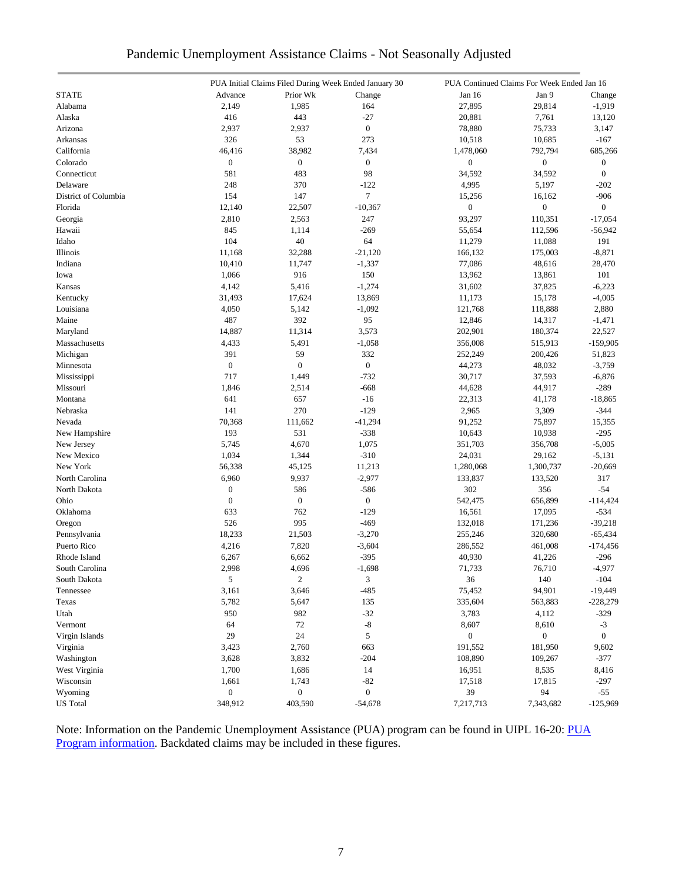|  | Pandemic Unemployment Assistance Claims - Not Seasonally Adjusted |  |  |  |
|--|-------------------------------------------------------------------|--|--|--|
|  |                                                                   |  |  |  |

|                      |                  |                  | PUA Initial Claims Filed During Week Ended January 30 |                  | PUA Continued Claims For Week Ended Jan 16 |                  |
|----------------------|------------------|------------------|-------------------------------------------------------|------------------|--------------------------------------------|------------------|
| <b>STATE</b>         | Advance          | Prior Wk         | Change                                                | Jan 16           | Jan 9                                      | Change           |
| Alabama              | 2,149            | 1,985            | 164                                                   | 27,895           | 29,814                                     | $-1,919$         |
| Alaska               | 416              | 443              | $-27$                                                 | 20,881           | 7,761                                      | 13,120           |
| Arizona              | 2,937            | 2,937            | $\boldsymbol{0}$                                      | 78,880           | 75,733                                     | 3,147            |
| Arkansas             | 326              | 53               | 273                                                   | 10,518           | 10,685                                     | $-167$           |
| California           | 46,416           | 38,982           | 7,434                                                 | 1,478,060        | 792,794                                    | 685,266          |
| Colorado             | $\boldsymbol{0}$ | $\boldsymbol{0}$ | $\boldsymbol{0}$                                      | $\boldsymbol{0}$ | $\boldsymbol{0}$                           | $\boldsymbol{0}$ |
| Connecticut          | 581              | 483              | 98                                                    | 34,592           | 34,592                                     | $\boldsymbol{0}$ |
| Delaware             | 248              | 370              | $-122$                                                | 4,995            | 5,197                                      | $-202$           |
| District of Columbia | 154              | 147              | $\tau$                                                | 15,256           | 16,162                                     | $-906$           |
| Florida              | 12,140           | 22,507           | $-10,367$                                             | $\boldsymbol{0}$ | $\boldsymbol{0}$                           | $\boldsymbol{0}$ |
| Georgia              | 2,810            | 2,563            | 247                                                   | 93,297           | 110,351                                    | $-17,054$        |
| Hawaii               | 845              | 1,114            | $-269$                                                | 55,654           | 112,596                                    | $-56,942$        |
| Idaho                | 104              | 40               | 64                                                    | 11,279           | 11,088                                     | 191              |
| Illinois             | 11,168           | 32,288           | $-21,120$                                             | 166,132          | 175,003                                    | $-8,871$         |
| Indiana              | 10,410           | 11,747           | $-1,337$                                              | 77,086           | 48,616                                     | 28,470           |
| Iowa                 | 1,066            | 916              | 150                                                   | 13,962           | 13,861                                     | 101              |
| Kansas               | 4,142            | 5,416            | $-1,274$                                              | 31,602           | 37,825                                     | $-6,223$         |
| Kentucky             | 31,493           | 17,624           | 13,869                                                | 11,173           | 15,178                                     | $-4,005$         |
| Louisiana            | 4,050            | 5,142            | $-1,092$                                              | 121,768          | 118,888                                    | 2,880            |
|                      |                  | 392              | 95                                                    | 12,846           |                                            |                  |
| Maine                | 487              |                  |                                                       |                  | 14,317                                     | -1,471           |
| Maryland             | 14,887           | 11,314           | 3,573                                                 | 202,901          | 180,374                                    | 22,527           |
| Massachusetts        | 4,433            | 5,491            | $-1,058$                                              | 356,008          | 515,913                                    | $-159,905$       |
| Michigan             | 391              | 59               | 332                                                   | 252,249          | 200,426                                    | 51,823           |
| Minnesota            | $\mathbf{0}$     | $\boldsymbol{0}$ | $\overline{0}$                                        | 44,273           | 48,032                                     | $-3,759$         |
| Mississippi          | 717              | 1,449            | $-732$                                                | 30,717           | 37,593                                     | $-6,876$         |
| Missouri             | 1,846            | 2,514            | $-668$                                                | 44,628           | 44,917                                     | $-289$           |
| Montana              | 641              | 657              | $-16$                                                 | 22,313           | 41,178                                     | $-18,865$        |
| Nebraska             | 141              | 270              | $-129$                                                | 2,965            | 3,309                                      | $-344$           |
| Nevada               | 70,368           | 111,662          | $-41,294$                                             | 91,252           | 75,897                                     | 15,355           |
| New Hampshire        | 193              | 531              | $-338$                                                | 10,643           | 10,938                                     | $-295$           |
| New Jersey           | 5,745            | 4,670            | 1,075                                                 | 351,703          | 356,708                                    | $-5,005$         |
| New Mexico           | 1,034            | 1,344            | $-310$                                                | 24,031           | 29,162                                     | $-5,131$         |
| New York             | 56,338           | 45,125           | 11,213                                                | 1,280,068        | 1,300,737                                  | $-20,669$        |
| North Carolina       | 6,960            | 9,937            | $-2,977$                                              | 133,837          | 133,520                                    | 317              |
| North Dakota         | $\boldsymbol{0}$ | 586              | $-586$                                                | 302              | 356                                        | $-54$            |
| Ohio                 | $\boldsymbol{0}$ | $\boldsymbol{0}$ | $\boldsymbol{0}$                                      | 542,475          | 656,899                                    | $-114,424$       |
| Oklahoma             | 633              | 762              | $-129$                                                | 16,561           | 17,095                                     | $-534$           |
| Oregon               | 526              | 995              | $-469$                                                | 132,018          | 171,236                                    | $-39,218$        |
| Pennsylvania         | 18,233           | 21,503           | $-3,270$                                              | 255,246          | 320,680                                    | $-65,434$        |
| Puerto Rico          | 4,216            | 7,820            | $-3,604$                                              | 286,552          | 461,008                                    | $-174,456$       |
| Rhode Island         | 6,267            | 6,662            | $-395$                                                | 40,930           | 41,226                                     | $-296$           |
| South Carolina       | 2,998            | 4,696            | $-1,698$                                              | 71,733           | 76,710                                     | $-4,977$         |
| South Dakota         | 5                | $\sqrt{2}$       | 3                                                     | 36               | 140                                        | $-104$           |
| Tennessee            | 3,161            | 3,646            | $-485$                                                | 75,452           | 94,901                                     | $-19,449$        |
| Texas                | 5,782            | 5,647            | 135                                                   | 335,604          | 563,883                                    | $-228,279$       |
| Utah                 | 950              | 982              | $-32$                                                 | 3,783            | 4,112                                      | $-329$           |
| Vermont              | 64               | 72               | $\mbox{-}8$                                           | 8,607            | 8,610                                      | $-3$             |
| Virgin Islands       | 29               | 24               | 5                                                     | $\boldsymbol{0}$ | $\boldsymbol{0}$                           | $\boldsymbol{0}$ |
| Virginia             | 3,423            | 2,760            | 663                                                   | 191,552          | 181,950                                    | 9,602            |
| Washington           | 3,628            | 3,832            | $-204$                                                | 108,890          | 109,267                                    | $-377$           |
| West Virginia        | 1,700            | 1,686            | 14                                                    | 16,951           | 8,535                                      | 8,416            |
| Wisconsin            | 1,661            | 1,743            | $-82$                                                 | 17,518           | 17,815                                     | $-297$           |
| Wyoming              | $\boldsymbol{0}$ | $\boldsymbol{0}$ | $\boldsymbol{0}$                                      | 39               | 94                                         | $-55$            |
| <b>US</b> Total      | 348,912          | 403,590          | $-54,678$                                             | 7,217,713        | 7,343,682                                  | $-125,969$       |
|                      |                  |                  |                                                       |                  |                                            |                  |

Note: Information on the Pandemic Unemployment Assistance (PUA) program can be found in UIPL 16-20: PUA [Program information.](https://wdr.doleta.gov/directives/corr_doc.cfm?DOCN=4628) Backdated claims may be included in these figures.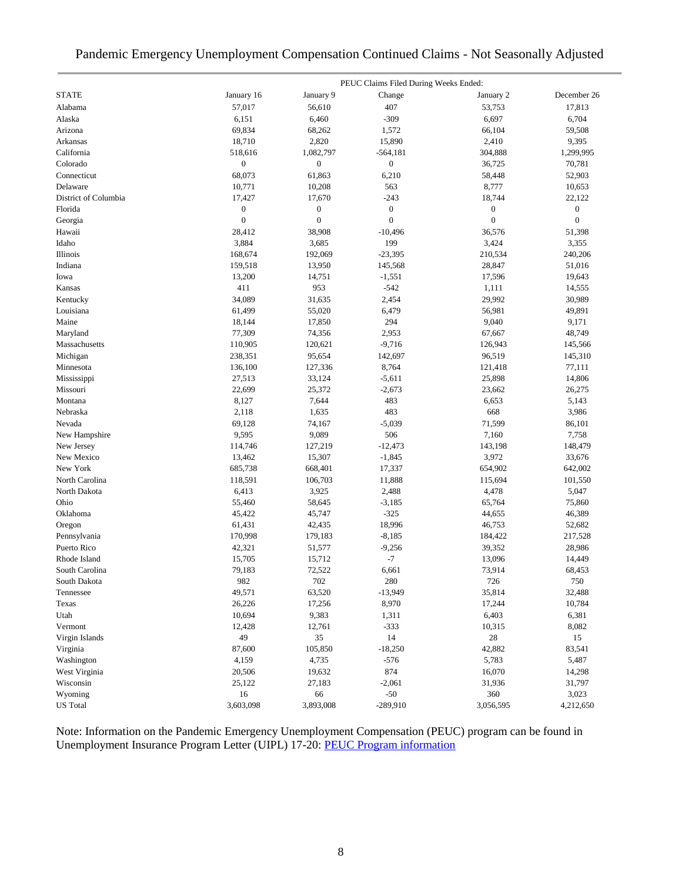|  | Pandemic Emergency Unemployment Compensation Continued Claims - Not Seasonally Adjusted |  |  |  |  |
|--|-----------------------------------------------------------------------------------------|--|--|--|--|
|  |                                                                                         |  |  |  |  |

|                      |                  |                  | PEUC Claims Filed During Weeks Ended: |                  |                  |
|----------------------|------------------|------------------|---------------------------------------|------------------|------------------|
| <b>STATE</b>         | January 16       | January 9        | Change                                | January 2        | December 26      |
| Alabama              | 57,017           | 56,610           | 407                                   | 53,753           | 17,813           |
| Alaska               | 6,151            | 6,460            | $-309$                                | 6,697            | 6,704            |
| Arizona              | 69,834           | 68,262           | 1,572                                 | 66,104           | 59,508           |
| Arkansas             | 18,710           | 2,820            | 15,890                                | 2,410            | 9,395            |
| California           | 518,616          | 1,082,797        | $-564,181$                            | 304,888          | 1,299,995        |
| Colorado             | $\boldsymbol{0}$ | $\boldsymbol{0}$ | $\boldsymbol{0}$                      | 36,725           | 70,781           |
| Connecticut          | 68,073           | 61,863           | 6,210                                 | 58,448           | 52,903           |
| Delaware             | 10,771           | 10,208           | 563                                   | 8,777            | 10,653           |
| District of Columbia | 17,427           | 17,670           | $-243$                                | 18,744           | 22,122           |
| Florida              | $\boldsymbol{0}$ | $\boldsymbol{0}$ | $\boldsymbol{0}$                      | $\boldsymbol{0}$ | $\boldsymbol{0}$ |
| Georgia              | $\boldsymbol{0}$ | $\boldsymbol{0}$ | $\mathbf{0}$                          | $\boldsymbol{0}$ | $\boldsymbol{0}$ |
| Hawaii               | 28,412           | 38,908           | $-10,496$                             | 36,576           | 51,398           |
| Idaho                | 3,884            | 3,685            | 199                                   | 3,424            | 3,355            |
| Illinois             | 168,674          | 192,069          | $-23,395$                             | 210,534          | 240,206          |
| Indiana              | 159,518          | 13,950           | 145,568                               | 28,847           | 51,016           |
| Iowa                 | 13,200           | 14,751           | $-1,551$                              | 17,596           | 19,643           |
| Kansas               | 411              | 953              | $-542$                                | 1,111            | 14,555           |
| Kentucky             | 34,089           | 31,635           | 2,454                                 | 29,992           | 30,989           |
| Louisiana            | 61,499           | 55,020           | 6,479                                 | 56,981           | 49,891           |
| Maine                | 18,144           | 17,850           | 294                                   | 9,040            | 9,171            |
| Maryland             | 77,309           | 74,356           | 2,953                                 | 67,667           | 48,749           |
| Massachusetts        | 110,905          | 120,621          | $-9,716$                              | 126,943          | 145,566          |
| Michigan             | 238,351          | 95,654           | 142,697                               | 96,519           | 145,310          |
| Minnesota            | 136,100          | 127,336          | 8,764                                 | 121,418          | 77,111           |
| Mississippi          | 27,513           | 33,124           | $-5,611$                              | 25,898           | 14,806           |
| Missouri             | 22,699           | 25,372           | $-2,673$                              | 23,662           | 26,275           |
| Montana              | 8,127            | 7,644            | 483                                   | 6,653            | 5,143            |
| Nebraska             | 2,118            | 1,635            | 483                                   | 668              | 3,986            |
| Nevada               | 69,128           | 74,167           | $-5,039$                              | 71,599           | 86,101           |
| New Hampshire        | 9,595            | 9,089            | 506                                   | 7,160            | 7,758            |
| New Jersey           | 114,746          | 127,219          | $-12,473$                             | 143,198          | 148,479          |
| New Mexico           | 13,462           | 15,307           | $-1,845$                              | 3,972            | 33,676           |
| New York             | 685,738          | 668,401          | 17,337                                | 654,902          | 642,002          |
| North Carolina       | 118,591          | 106,703          | 11,888                                | 115,694          | 101,550          |
| North Dakota         | 6,413            | 3,925            | 2,488                                 | 4,478            | 5,047            |
| Ohio                 | 55,460           | 58,645           | $-3,185$                              | 65,764           | 75,860           |
| Oklahoma             | 45,422           | 45,747           | $-325$                                | 44,655           | 46,389           |
| Oregon               | 61,431           | 42,435           | 18,996                                | 46,753           | 52,682           |
| Pennsylvania         | 170,998          | 179,183          | $-8,185$                              | 184,422          | 217,528          |
| Puerto Rico          | 42,321           | 51,577           | $-9,256$                              | 39,352           | 28,986           |
| Rhode Island         | 15,705           | 15,712           | $-7$                                  | 13,096           | 14,449           |
| South Carolina       | 79,183           | 72,522           | 6,661                                 | 73,914           | 68,453           |
| South Dakota         | 982              | 702              | 280                                   | 726              | 750              |
| Tennessee            | 49,571           | 63,520           | $-13,949$                             | 35,814           | 32,488           |
| Texas                | 26,226           | 17,256           | 8,970                                 | 17,244           | 10,784           |
| Utah                 | 10,694           | 9,383            | 1,311                                 | 6,403            | 6,381            |
| Vermont              | 12,428           | 12,761           | $-333$                                | 10,315           | 8,082            |
| Virgin Islands       | 49               | 35               | 14                                    | 28               | 15               |
| Virginia             | 87,600           | 105,850          | $-18,250$                             | 42,882           | 83,541           |
| Washington           | 4,159            | 4,735            | $-576$                                | 5,783            | 5,487            |
| West Virginia        | 20,506           | 19,632           | 874                                   | 16,070           | 14,298           |
| Wisconsin            | 25,122           | 27,183           | $-2,061$                              | 31,936           | 31,797           |
| Wyoming              | 16               | 66               | $-50$                                 | 360              | 3,023            |
| <b>US</b> Total      | 3,603,098        | 3,893,008        | $-289,910$                            | 3,056,595        | 4,212,650        |

Note: Information on the Pandemic Emergency Unemployment Compensation (PEUC) program can be found in Unemployment Insurance Program Letter (UIPL) 17-20: **PEUC Program information**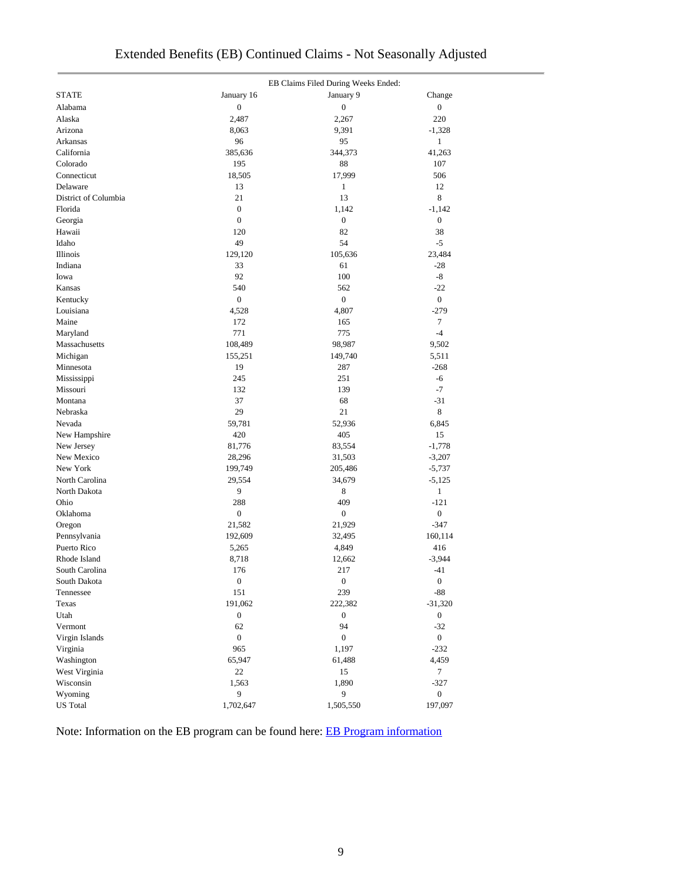|                      |                  | EB Claims Filed During Weeks Ended: |                  |
|----------------------|------------------|-------------------------------------|------------------|
| <b>STATE</b>         | January 16       | January 9                           | Change           |
| Alabama              | $\boldsymbol{0}$ | $\boldsymbol{0}$                    | $\boldsymbol{0}$ |
| Alaska               | 2,487            | 2,267                               | 220              |
| Arizona              | 8,063            | 9,391                               | $-1,328$         |
| Arkansas             | 96               | 95                                  | 1                |
| California           | 385,636          | 344,373                             | 41,263           |
| Colorado             | 195              | 88                                  | 107              |
| Connecticut          | 18,505           | 17,999                              | 506              |
| Delaware             | 13               | $\mathbf{1}$                        | 12               |
| District of Columbia | 21               | 13                                  | 8                |
| Florida              | $\boldsymbol{0}$ | 1,142                               | $-1,142$         |
| Georgia              | $\boldsymbol{0}$ | $\boldsymbol{0}$                    | $\boldsymbol{0}$ |
| Hawaii               | 120              | 82                                  | 38               |
| Idaho                | 49               | 54                                  | $-5$             |
| Illinois             | 129,120          | 105,636                             | 23,484           |
| Indiana              | 33               | 61                                  | $-28$            |
| Iowa                 | 92               | 100                                 | $-8$             |
| Kansas               | 540              | 562                                 | $-22$            |
| Kentucky             | $\boldsymbol{0}$ | $\boldsymbol{0}$                    | $\mathbf{0}$     |
| Louisiana            | 4,528            | 4,807                               | $-279$           |
| Maine                | 172              | 165                                 | 7                |
| Maryland             | 771              | 775                                 | $-4$             |
| Massachusetts        | 108,489          | 98,987                              | 9,502            |
| Michigan             | 155,251          | 149,740                             | 5,511            |
| Minnesota            | 19               | 287                                 | $-268$           |
| Mississippi          | 245              | 251                                 | $-6$             |
| Missouri             | 132              | 139                                 | $-7$             |
| Montana              | 37               | 68                                  | $-31$            |
| Nebraska             | 29               | 21                                  | 8                |
| Nevada               | 59,781           | 52,936                              | 6,845            |
| New Hampshire        | 420              | 405                                 | 15               |
| New Jersey           | 81,776           | 83,554                              | $-1,778$         |
| New Mexico           | 28,296           | 31,503                              | $-3,207$         |
| New York             | 199,749          | 205,486                             | $-5,737$         |
| North Carolina       | 29,554           | 34,679                              | $-5,125$         |
| North Dakota         | 9                | 8                                   | $\mathbf{1}$     |
| Ohio                 | 288              | 409                                 | $-121$           |
| Oklahoma             | $\boldsymbol{0}$ | $\boldsymbol{0}$                    | $\boldsymbol{0}$ |
| Oregon               | 21,582           | 21,929                              | $-347$           |
| Pennsylvania         | 192,609          | 32,495                              | 160,114          |
| Puerto Rico          | 5,265            | 4,849                               | 416              |
| Rhode Island         | 8,718            | 12,662                              | $-3,944$         |
| South Carolina       | 176              | 217                                 | $-41$            |
| South Dakota         | $\theta$         | $\theta$                            | $\theta$         |
| Tennessee            | 151              | 239                                 | $\mbox{-}88$     |
| Texas                | 191,062          | 222,382                             | $-31,320$        |
| Utah                 | $\boldsymbol{0}$ | $\boldsymbol{0}$                    | $\boldsymbol{0}$ |
| Vermont              | 62               | 94                                  | $-32$            |
| Virgin Islands       | $\boldsymbol{0}$ | $\boldsymbol{0}$                    | $\boldsymbol{0}$ |
| Virginia             | 965              | 1,197                               | $-232$           |
| Washington           | 65,947           | 61,488                              | 4,459            |
| West Virginia        | 22               | 15                                  | $\tau$           |
| Wisconsin            | 1,563            | 1,890                               | $-327$           |
| Wyoming              | 9                | 9                                   | $\overline{0}$   |
| <b>US</b> Total      | 1,702,647        | 1,505,550                           | 197,097          |
|                      |                  |                                     |                  |

# Extended Benefits (EB) Continued Claims - Not Seasonally Adjusted

Note: Information on the EB program can be found here: [EB Program information](https://oui.doleta.gov/unemploy/extenben.asp)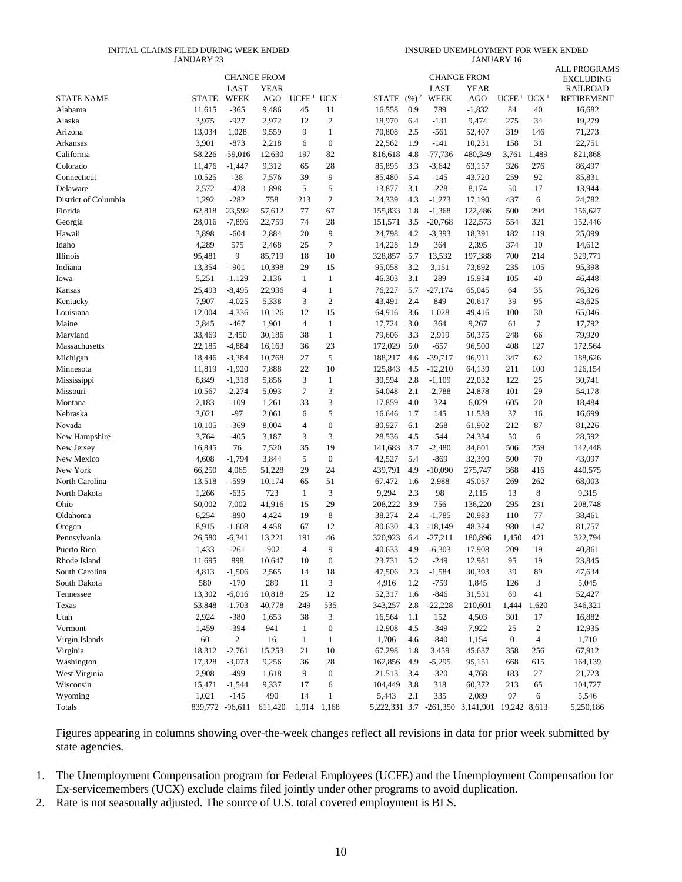#### INITIAL CLAIMS FILED DURING WEEK ENDED JANUARY 23

INSURED UNEMPLOYMENT FOR WEEK ENDED JANUARY 16

|                        |                  |                    |                    |                      |                        |                   |            |                       |                                        |                                    |                         | <b>ALL PROGRAMS</b>                  |
|------------------------|------------------|--------------------|--------------------|----------------------|------------------------|-------------------|------------|-----------------------|----------------------------------------|------------------------------------|-------------------------|--------------------------------------|
|                        |                  |                    | <b>CHANGE FROM</b> |                      |                        |                   |            |                       | <b>CHANGE FROM</b>                     |                                    |                         | <b>EXCLUDING</b>                     |
| <b>STATE NAME</b>      | <b>STATE</b>     | LAST<br>WEEK       | <b>YEAR</b><br>AGO | UCFE <sup>1</sup>    | UCX <sup>1</sup>       | STATE             | $(96)^2$   | LAST<br>WEEK          | <b>YEAR</b><br>AGO                     | UCFE <sup>1</sup> UCX <sup>1</sup> |                         | <b>RAILROAD</b><br><b>RETIREMENT</b> |
| Alabama                | 11,615           | $-365$             | 9,486              | 45                   | 11                     | 16,558            | 0.9        | 789                   | $-1,832$                               | 84                                 | 40                      | 16,682                               |
| Alaska                 | 3,975            | $-927$             | 2,972              | 12                   | 2                      | 18,970            | 6.4        | $-131$                | 9,474                                  | 275                                | 34                      | 19,279                               |
| Arizona                | 13,034           | 1,028              | 9,559              | 9                    | $\mathbf{1}$           | 70,808            | 2.5        | $-561$                | 52,407                                 | 319                                | 146                     | 71,273                               |
| Arkansas               | 3,901            | $-873$             | 2,218              | 6                    | $\boldsymbol{0}$       | 22,562            | 1.9        | $-141$                | 10,231                                 | 158                                | 31                      | 22,751                               |
| California             | 58,226           | $-59,016$          | 12,630             | 197                  | 82                     | 816,618           | 4.8        | $-77,736$             | 480,349                                | 3,761                              | 1,489                   | 821,868                              |
| Colorado               | 11,476           | $-1,447$           | 9,312              | 65                   | 28                     | 85,895            | 3.3        | $-3,642$              | 63,157                                 | 326                                | 276                     | 86,497                               |
| Connecticut            | 10,525           | $-38$              | 7,576              | 39                   | 9                      | 85,480            | 5.4        | $-145$                | 43,720                                 | 259                                | 92                      | 85,831                               |
| Delaware               | 2,572            | $-428$             | 1,898              | 5                    | 5                      | 13,877            | 3.1        | $-228$                | 8,174                                  | 50                                 | 17                      | 13,944                               |
| District of Columbia   | 1,292            | $-282$             | 758                | 213                  | $\mathbf{2}$           | 24,339            | 4.3        | $-1,273$              | 17,190                                 | 437                                | 6                       | 24,782                               |
| Florida                | 62,818           | 23,592             | 57,612             | 77                   | 67                     | 155,833           | 1.8        | $-1,368$              | 122,486                                | 500                                | 294                     | 156,627                              |
| Georgia                | 28,016           | $-7,896$           | 22,759             | 74                   | 28                     | 151,571           | 3.5        | $-20,768$             | 122,573                                | 554                                | 321                     | 152,446                              |
| Hawaii                 | 3,898            | $-604$             | 2,884              | 20                   | 9                      | 24,798            | 4.2        | $-3,393$              | 18,391                                 | 182                                | 119                     | 25,099                               |
| Idaho                  | 4,289            | 575                | 2,468              | 25                   | 7                      | 14,228            | 1.9        | 364                   | 2,395                                  | 374                                | 10                      | 14,612                               |
| Illinois               | 95,481           | 9                  | 85,719             | 18                   | 10                     | 328,857           | 5.7        | 13,532                | 197,388                                | 700                                | 214                     | 329,771                              |
| Indiana                | 13,354           | $-901$             | 10,398             | 29                   | 15                     | 95,058            | 3.2        | 3,151                 | 73,692                                 | 235                                | 105                     | 95,398                               |
| Iowa                   | 5,251            | $-1,129$           | 2,136              | 1                    | $\mathbf{1}$           | 46,303            | 3.1        | 289                   | 15,934                                 | 105                                | 40                      | 46,448                               |
|                        | 25,493           |                    | 22,936             | $\overline{4}$       | $\mathbf{1}$           | 76,227            | 5.7        | $-27,174$             | 65,045                                 | 64                                 | 35                      | 76,326                               |
| Kansas                 |                  | $-8,495$           |                    | 3                    |                        |                   | 2.4        | 849                   | 20,617                                 | 39                                 |                         |                                      |
| Kentucky               | 7,907            | $-4,025$           | 5,338              |                      | $\overline{c}$         | 43,491            |            |                       |                                        |                                    | 95                      | 43,625                               |
| Louisiana              | 12,004           | $-4,336$           | 10,126             | 12<br>$\overline{4}$ | 15                     | 64,916            | 3.6        | 1,028                 | 49,416                                 | 100                                | 30                      | 65,046                               |
| Maine                  | 2,845            | $-467$             | 1,901              |                      | $\mathbf{1}$           | 17,724            | 3.0        | 364                   | 9,267                                  | 61                                 | $\boldsymbol{7}$        | 17,792                               |
| Maryland               | 33,469           | 2,450              | 30,186             | 38                   | $\mathbf{1}$           | 79,606            | 3.3        | 2,919                 | 50,375                                 | 248                                | 66                      | 79,920                               |
| Massachusetts          | 22,185           | $-4,884$           | 16,163             | 36                   | 23                     | 172,029           | 5.0        | $-657$                | 96,500                                 | 408                                | 127                     | 172,564                              |
| Michigan               | 18,446           | $-3,384$           | 10,768             | 27                   | 5                      | 188,217           | 4.6        | $-39,717$             | 96,911                                 | 347                                | 62                      | 188,626                              |
| Minnesota              | 11,819           | $-1,920$           | 7,888              | 22                   | 10                     | 125,843           | 4.5        | $-12,210$             | 64,139                                 | 211                                | 100                     | 126,154                              |
| Mississippi            | 6,849            | $-1,318$           | 5,856              | 3                    | $\mathbf{1}$           | 30,594            | 2.8        | $-1,109$              | 22,032                                 | 122                                | 25                      | 30,741                               |
| Missouri               | 10,567           | $-2,274$           | 5,093              | $\tau$               | 3                      | 54,048            | 2.1        | $-2,788$              | 24,878                                 | 101                                | 29                      | 54,178                               |
| Montana                | 2,183            | $-109$             | 1,261              | 33                   | 3                      | 17,859            | 4.0        | 324                   | 6,029                                  | 605                                | 20                      | 18,484                               |
| Nebraska               | 3,021            | $-97$              | 2,061              | 6                    | 5<br>$\boldsymbol{0}$  | 16,646            | 1.7        | 145                   | 11,539                                 | 37                                 | 16                      | 16,699                               |
| Nevada                 | 10,105           | $-369$             | 8,004              | $\overline{4}$       |                        | 80,927            | 6.1        | $-268$                | 61,902                                 | 212                                | 87                      | 81,226                               |
| New Hampshire          | 3,764            | $-405$             | 3,187              | 3                    | 3                      | 28,536            | 4.5        | $-544$                | 24,334                                 | 50                                 | 6                       | 28,592                               |
| New Jersey             | 16,845           | 76                 | 7,520              | 35<br>5              | 19<br>$\boldsymbol{0}$ | 141,683           | 3.7<br>5.4 | $-2,480$<br>$-869$    | 34,601                                 | 506<br>500                         | 259<br>70               | 142,448                              |
| New Mexico<br>New York | 4,608            | $-1,794$           | 3,844              | 29                   | 24                     | 42,527            | 4.9        |                       | 32,390                                 |                                    |                         | 43,097                               |
| North Carolina         | 66,250<br>13,518 | 4,065<br>$-599$    | 51,228             | 65                   | 51                     | 439,791<br>67,472 |            | $-10,090$             | 275,747<br>45,057                      | 368<br>269                         | 416<br>262              | 440,575<br>68,003                    |
| North Dakota           | 1,266            | $-635$             | 10,174<br>723      | 1                    | 3                      | 9,294             | 1.6<br>2.3 | 2,988<br>98           | 2,115                                  | 13                                 | $\,$ 8 $\,$             | 9,315                                |
| Ohio                   | 50,002           | 7,002              |                    | 15                   | 29                     | 208,222           | 3.9        |                       | 136,220                                | 295                                | 231                     | 208,748                              |
| Oklahoma               | 6,254            | $-890$             | 41,916             | 19                   | 8                      | 38,274            | 2.4        | 756                   | 20,983                                 | 110                                | 77                      |                                      |
|                        | 8,915            | $-1,608$           | 4,424<br>4,458     | 67                   | 12                     | 80,630            | 4.3        | $-1,785$              | 48,324                                 | 980                                | 147                     | 38,461<br>81,757                     |
| Oregon<br>Pennsylvania | 26,580           | $-6,341$           | 13,221             | 191                  | 46                     | 320,923           | 6.4        | $-18,149$             | 180,896                                | 1,450                              | 421                     | 322,794                              |
| Puerto Rico            | 1,433            | $-261$             | $-902$             | $\overline{4}$       | 9                      | 40,633            | 4.9        | $-27,211$<br>$-6,303$ | 17,908                                 | 209                                | 19                      | 40,861                               |
| Rhode Island           | 11,695           | 898                | 10,647             | 10                   | $\Omega$               | 23,731            | 5.2        | $-249$                | 12,981                                 | 95                                 | 19                      | 23,845                               |
| South Carolina         | 4,813            | $-1,506$           | 2,565              | 14                   | 18                     | 47,506            | 2.3        | $-1,584$              | 30,393                                 | 39                                 | 89                      | 47,634                               |
| South Dakota           | 580              | $-170$             | 289                | 11                   | 3                      | 4,916             | 1.2        | $-759$                | 1,845                                  | 126                                | 3                       | 5,045                                |
| Tennessee              | 13,302           | $-6,016$           | 10,818             | 25                   | 12                     | 52,317            | 1.6        | $-846$                | 31,531                                 | 69                                 | 41                      | 52,427                               |
| Texas                  | 53,848           | $-1,703$           | 40,778             | 249                  | 535                    | 343,257           | 2.8        | $-22,228$             | 210,601                                | 1,444                              | 1,620                   | 346,321                              |
| Utah                   | 2,924            | $-380$             | 1,653              | 38                   | 3                      | 16,564            | 1.1        | 152                   | 4,503                                  | 301                                | 17                      | 16,882                               |
| Vermont                | 1,459            | $-394$             | 941                | $\mathbf{1}$         | $\boldsymbol{0}$       | 12,908            | 4.5        | $-349$                | 7,922                                  | 25                                 | $\overline{\mathbf{c}}$ | 12,935                               |
| Virgin Islands         | 60               | $\boldsymbol{2}$   | 16                 | 1                    | $\mathbf{1}$           | 1,706             | 4.6        | $-840$                | 1,154                                  | $\boldsymbol{0}$                   | $\overline{4}$          | 1,710                                |
| Virginia               | 18,312           | $-2,761$           | 15,253             | 21                   | 10                     | 67,298            | 1.8        |                       | 45,637                                 | 358                                | 256                     | 67,912                               |
| Washington             | 17,328           | $-3,073$           | 9,256              | 36                   | 28                     | 162,856           | 4.9        | 3,459<br>$-5,295$     | 95,151                                 | 668                                | 615                     | 164,139                              |
| West Virginia          | 2,908            | -499               |                    | 9                    | $\boldsymbol{0}$       | 21,513            |            | $-320$                |                                        | 183                                | 27                      |                                      |
| Wisconsin              | 15,471           |                    | 1,618              | 17                   |                        | 104,449           | 3.4<br>3.8 |                       | 4,768<br>60,372                        | 213                                | 65                      | 21,723                               |
| Wyoming                | 1,021            | $-1,544$<br>$-145$ | 9,337<br>490       | 14                   | 6<br>$\mathbf{1}$      | 5,443             | 2.1        | 318<br>335            | 2,089                                  | 97                                 | 6                       | 104,727<br>5,546                     |
|                        |                  |                    |                    |                      |                        |                   |            |                       | 5, 222, 331 3.7 - 261, 350 3, 141, 901 |                                    |                         |                                      |
| Totals                 | 839,772 -96,611  |                    | 611,420            | 1,914 1,168          |                        |                   |            |                       |                                        | 19,242 8,613                       |                         | 5,250,186                            |

Figures appearing in columns showing over-the-week changes reflect all revisions in data for prior week submitted by state agencies.

1. The Unemployment Compensation program for Federal Employees (UCFE) and the Unemployment Compensation for Ex-servicemembers (UCX) exclude claims filed jointly under other programs to avoid duplication.

2. Rate is not seasonally adjusted. The source of U.S. total covered employment is BLS.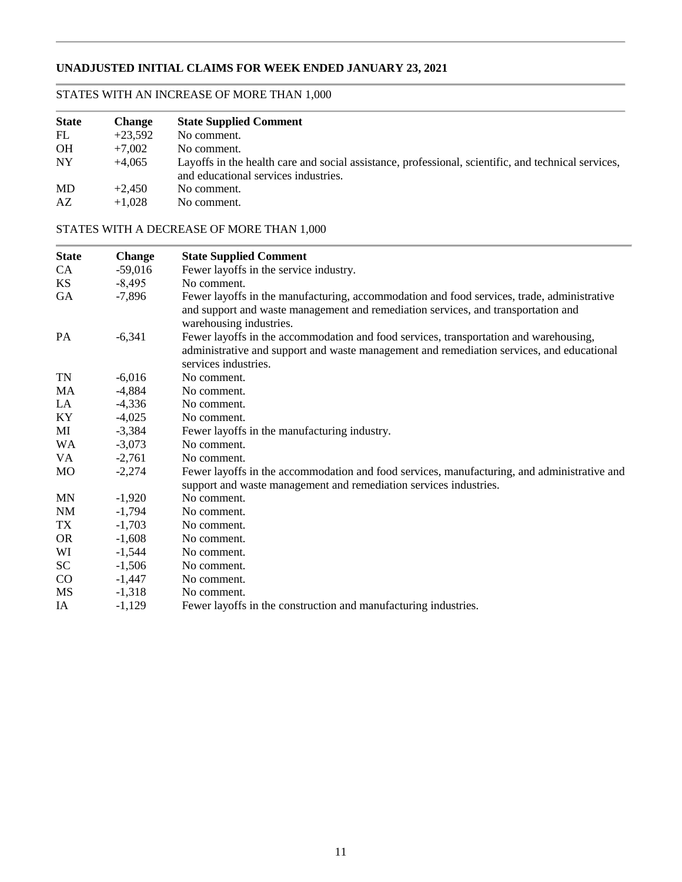# **UNADJUSTED INITIAL CLAIMS FOR WEEK ENDED JANUARY 23, 2021**

# STATES WITH AN INCREASE OF MORE THAN 1,000

| <b>State</b> | <b>Change</b> | <b>State Supplied Comment</b>                                                                                                               |
|--------------|---------------|---------------------------------------------------------------------------------------------------------------------------------------------|
| FL           | $+23.592$     | No comment.                                                                                                                                 |
| <b>OH</b>    | $+7.002$      | No comment.                                                                                                                                 |
| NY           | $+4.065$      | Layoffs in the health care and social assistance, professional, scientific, and technical services,<br>and educational services industries. |
| MD           | $+2.450$      | No comment.                                                                                                                                 |
| AZ           | $+1.028$      | No comment.                                                                                                                                 |

# STATES WITH A DECREASE OF MORE THAN 1,000

| <b>State</b> | <b>Change</b> | <b>State Supplied Comment</b>                                                                                                                                                                              |
|--------------|---------------|------------------------------------------------------------------------------------------------------------------------------------------------------------------------------------------------------------|
| CA.          | $-59,016$     | Fewer layoffs in the service industry.                                                                                                                                                                     |
| KS.          | $-8,495$      | No comment.                                                                                                                                                                                                |
| GA           | $-7,896$      | Fewer layoffs in the manufacturing, accommodation and food services, trade, administrative<br>and support and waste management and remediation services, and transportation and<br>warehousing industries. |
| PA           | $-6,341$      | Fewer layoffs in the accommodation and food services, transportation and warehousing,<br>administrative and support and waste management and remediation services, and educational<br>services industries. |
| <b>TN</b>    | $-6,016$      | No comment.                                                                                                                                                                                                |
| MA           | $-4,884$      | No comment.                                                                                                                                                                                                |
| LA           | $-4,336$      | No comment.                                                                                                                                                                                                |
| KY           | $-4,025$      | No comment.                                                                                                                                                                                                |
| MI           | $-3,384$      | Fewer layoffs in the manufacturing industry.                                                                                                                                                               |
| <b>WA</b>    | $-3,073$      | No comment.                                                                                                                                                                                                |
| VA           | $-2,761$      | No comment.                                                                                                                                                                                                |
| <b>MO</b>    | $-2,274$      | Fewer layoffs in the accommodation and food services, manufacturing, and administrative and<br>support and waste management and remediation services industries.                                           |
| <b>MN</b>    | $-1,920$      | No comment.                                                                                                                                                                                                |
| NM           | $-1,794$      | No comment.                                                                                                                                                                                                |
| TX           | $-1,703$      | No comment.                                                                                                                                                                                                |
| <b>OR</b>    | $-1,608$      | No comment.                                                                                                                                                                                                |
| WI           | $-1,544$      | No comment.                                                                                                                                                                                                |
| SC           | $-1,506$      | No comment.                                                                                                                                                                                                |
| CO           | $-1,447$      | No comment.                                                                                                                                                                                                |
| MS           | $-1,318$      | No comment.                                                                                                                                                                                                |
| IA           | $-1,129$      | Fewer layoffs in the construction and manufacturing industries.                                                                                                                                            |